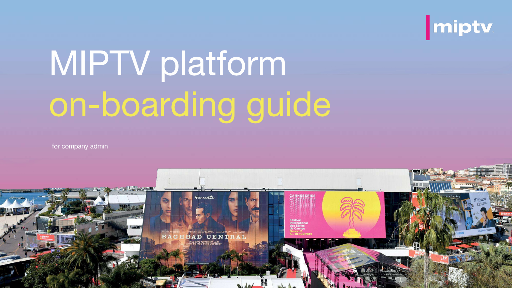

# **MIPTV platform** on-boarding guide

for company admin

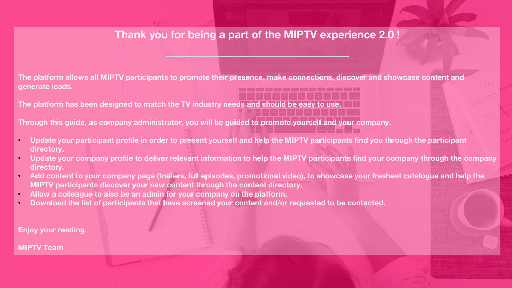### **Thank you for being a part of the MIPTV experience 2.0 !**

**The platform allows all MIPTV participants to promote their presence, make connections, discover and showcase content and generate leads.**

**The platform has been designed to match the TV industry needs and should be easy to use.**

**Through this guide, as company administrator, you will be guided to promote yourself and your company.** 

- **Update your participant profile in order to present yourself and help the MIPTV participants find you through the participant directory.**
- **Update your company profile to deliver relevant information to help the MIPTV participants find your company through the company directory.**
- **Add content to your company page (trailers, full episodes, promotional video), to showcase your freshest catalogue and help the MIPTV participants discover your new content through the content directory.**
- **Allow a colleague to also be an admin for your company on the platform.**
- **Download the list of participants that have screened your content and/or requested to be contacted.**

**Enjoy your reading.**

**MIPTV Team**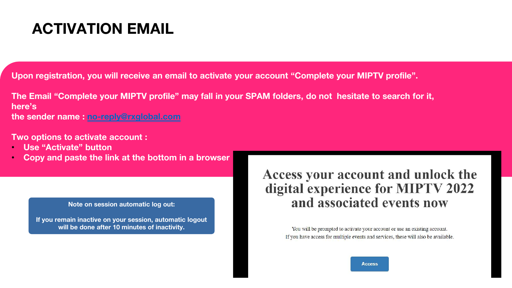### **ACTIVATION EMAIL**

**Upon registration, you will receive an email to activate your account "Complete your MIPTV profile".**

**The Email "Complete your MIPTV profile" may fall in your SPAM folders, do not hesitate to search for it, here's the sender name : [no-reply@rxglobal.com](mailto:no-reply@rxglobal.com)**

**Two options to activate account :**

- **Use "Activate" button**
- **Copy and paste the link at the bottom in a browser**

#### **Note on session automatic log out:**

**If you remain inactive on your session, automatic logout will be done after 10 minutes of inactivity.**

### Access your account and unlock the digital experience for MIPTV 2022 and associated events now

You will be prompted to activate your account or use an existing account. If you have access for multiple events and services, these will also be available.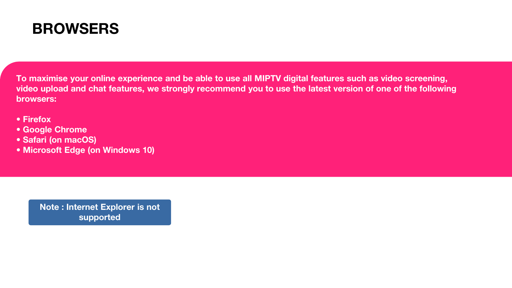

**To maximise your online experience and be able to use all MIPTV digital features such as video screening, video upload and chat features, we strongly recommend you to use the latest version of one of the following browsers:** 

- **Firefox**
- **Google Chrome**
- **Safari (on macOS)**
- **Microsoft Edge (on Windows 10)**

**Note : Internet Explorer is not supported**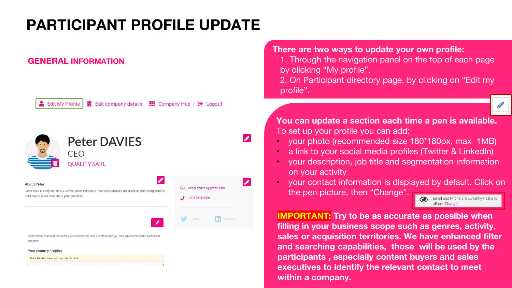### **PARTICIPANT PROFILE UPDATE**

#### **GENERAL INFORMATION**



Edit company details | **III** Company Hub | C Logout



Select items that best represent your company to help visitors to find you through searching the participant director

Your country / region

the selected item will be used in filter

**There are two ways to update your own profile:**

1. Through the navigation panel on the top of each page by clicking "My profile".

2. On Participant directory page, by clicking on "Edit my profile".

**You can update a section each time a pen is available.** To set up your profile you can add:

- your photo (recommended size 180\*180px, max 1MB)
- a link to your social media profiles (Twitter & LinkedIn)
- your description, job title and segmentation information on your activity
- your contact information is displayed by default. Click on the pen picture, then "Change".

Email and Phone are currently visible to others. Change.

**IMPORTANT: Try to be as accurate as possible when filling in your business scope such as genres, activity, sales or acquisition territories. We have enhanced filter and searching capabilities, those will be used by the participants , especially content buyers and sales executives to identify the relevant contact to meet within a company.**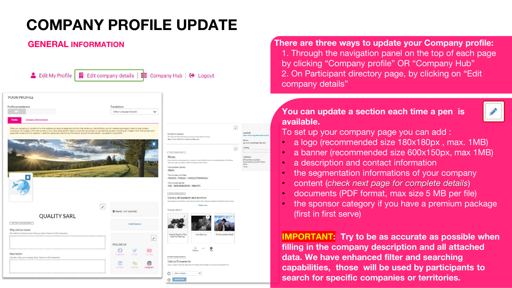$\overline{\mathcal{E}}$ 

 $\overline{a}$ 

#### **GENERAL INFORMATION**

| YOUR PROFILE                                                                                                                                                                                                                                                                                                                                                                                           |                                                   |                                 |                                                                                                                                                                                                                                                                                                                                  |
|--------------------------------------------------------------------------------------------------------------------------------------------------------------------------------------------------------------------------------------------------------------------------------------------------------------------------------------------------------------------------------------------------------|---------------------------------------------------|---------------------------------|----------------------------------------------------------------------------------------------------------------------------------------------------------------------------------------------------------------------------------------------------------------------------------------------------------------------------------|
| Profile completeness                                                                                                                                                                                                                                                                                                                                                                                   | Translations                                      |                                 |                                                                                                                                                                                                                                                                                                                                  |
| 3133                                                                                                                                                                                                                                                                                                                                                                                                   | Default Language (English)                        | $\check{~}$                     |                                                                                                                                                                                                                                                                                                                                  |
| Company Administrators                                                                                                                                                                                                                                                                                                                                                                                 |                                                   |                                 |                                                                                                                                                                                                                                                                                                                                  |
| When you upload your content on to this website you advrowledge and confirm that either you, the Exhibitor, own all intellectual property rights in that content,<br>including in all images within that content or you have obtained the rights owner's formal consent to upload that content, including all images within that content and<br>place that content on this website. In addition, perso |                                                   |                                 | Brandc we represent<br>Tel: Valizzael He brends that your company will recrease that Me above<br>Reason Films, Sient Films, Islanddisco Fevoraes                                                                                                                                                                                 |
|                                                                                                                                                                                                                                                                                                                                                                                                        |                                                   |                                 | year stund ron.<br>Filters<br>Select fierra field bast represent your company to hug-viations find you an the waterful checkery. Other Fill<br>adoctors might be available in Maleimaking (the sortion fullow).<br>Your company country<br>Beckern<br>Your company activities<br>Datibution Production Licensing (P-Mexhandleng, |
|                                                                                                                                                                                                                                                                                                                                                                                                        |                                                   |                                 |                                                                                                                                                                                                                                                                                                                                  |
|                                                                                                                                                                                                                                                                                                                                                                                                        |                                                   |                                 | Your company genres<br>Kda Drams-Scripted Formet Feature firm<br><b>THEM ASSOCIATES</b><br>Gallery of products and services                                                                                                                                                                                                      |
|                                                                                                                                                                                                                                                                                                                                                                                                        | $\overline{\mathcal{E}}$<br>O Stand: NOT ASSIGNED |                                 | + Add aredust<br>Products added: 4                                                                                                                                                                                                                                                                                               |
| <b>QUALITY SARL</b>                                                                                                                                                                                                                                                                                                                                                                                    |                                                   |                                 |                                                                                                                                                                                                                                                                                                                                  |
| MPTV 2011 - APRIL 2011 2PGDRC                                                                                                                                                                                                                                                                                                                                                                          |                                                   | + Add Session                   |                                                                                                                                                                                                                                                                                                                                  |
| Why visit our stand<br>Tail visitors why they should visit your stand. Maximum 200 characters                                                                                                                                                                                                                                                                                                          |                                                   |                                 |                                                                                                                                                                                                                                                                                                                                  |
| *******************************                                                                                                                                                                                                                                                                                                                                                                        |                                                   | ×                               | Charlie Chaplin's "The<br>Inner Senctum<br>Good For Nothing"                                                                                                                                                                                                                                                                     |
|                                                                                                                                                                                                                                                                                                                                                                                                        | <b>FOLLOW US</b>                                  |                                 | Additionalizate your Profile is about that positions to offer. Upload an image and foll details for each pro<br>The Gun and the Pu                                                                                                                                                                                               |
| Description                                                                                                                                                                                                                                                                                                                                                                                            | 69<br>Ranadopoli                                  | w<br>D.<br>YouTube<br>Tuillau   | $\circ$<br>O<br>Previous<br>Next                                                                                                                                                                                                                                                                                                 |
| Describe what your company does, Maximum 600 characters                                                                                                                                                                                                                                                                                                                                                |                                                   |                                 | <b>THEM KINGS SIDE</b>                                                                                                                                                                                                                                                                                                           |
|                                                                                                                                                                                                                                                                                                                                                                                                        | in<br>Linkedin                                    | $\circ$<br>WeiChat<br>Instagram | <b>Upload Documents</b><br>Select a category (Brochow, Dase Study, White Paper, Preza Release or Other) and spined the PSP frie.                                                                                                                                                                                                 |

**There are three ways to update your Company profile:** 1. Through the navigation panel on the top of each page by clicking "Company profile" OR "Company Hub" 2. On Participant directory page, by clicking on "Edit company details"

#### **You can update a section each time a pen is available.**



To set up your company page you can add :

- a logo (recommended size 180x180px , max. 1MB)
- a banner (recommended size 600x150px, max 1MB)
- a description and contact information
- the segmentation informations of your company
- content (*check next page for complete details*)
- documents (PDF format, max size 5 MB per file)
- the sponsor category if you have a premium package (first in first serve)

**IMPORTANT: Try to be as accurate as possible when filling in the company description and all attached data. We have enhanced filter and searching capabilities, those will be used by participants to search for specific companies or territories.**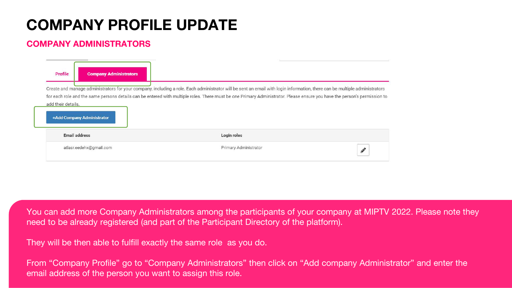#### **COMPANY ADMINISTRATORS**

| Profile<br><b>Company Administrators</b>         |                                                                                                                                                                                                                                                                                                                                                         |               |
|--------------------------------------------------|---------------------------------------------------------------------------------------------------------------------------------------------------------------------------------------------------------------------------------------------------------------------------------------------------------------------------------------------------------|---------------|
| add their details.<br>+Add Company Administrator | Create and manage administrators for your company, including a role. Each administrator will be sent an email with login information, there can be multiple administrators<br>for each role and the same persons details can be entered with multiple roles. There must be one Primary Administrator. Please ensure you have the person's permission to |               |
| <b>Email address</b>                             | Login roles                                                                                                                                                                                                                                                                                                                                             |               |
| atlasr.eedehx@gmail.com                          | Primary Administrator                                                                                                                                                                                                                                                                                                                                   | $\mathscr{P}$ |

You can add more Company Administrators among the participants of your company at MIPTV 2022. Please note they need to be already registered (and part of the Participant Directory of the platform).

They will be then able to fulfill exactly the same role as you do.

From "Company Profile" go to "Company Administrators" then click on "Add company Administrator" and enter the email address of the person you want to assign this role.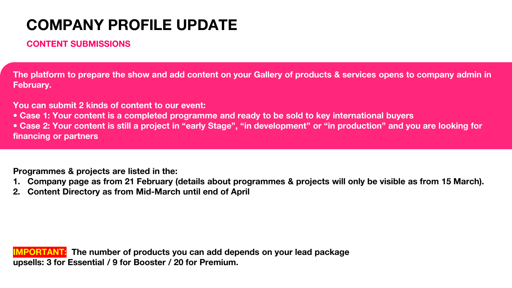#### **CONTENT SUBMISSIONS**

**The platform to prepare the show and add content on your Gallery of products & services opens to company admin in February.** 

**You can submit 2 kinds of content to our event:** 

**• Case 1: Your content is a completed programme and ready to be sold to key international buyers**

**• Case 2: Your content is still a project in "early Stage", "in development" or "in production" and you are looking for financing or partners** 

**Programmes & projects are listed in the:** 

- **1. Company page as from 21 February (details about programmes & projects will only be visible as from 15 March).**
- **2. Content Directory as from Mid-March until end of April**

**IMPORTANT: The number of products you can add depends on your lead package upsells: 3 for Essential / 9 for Booster / 20 for Premium.**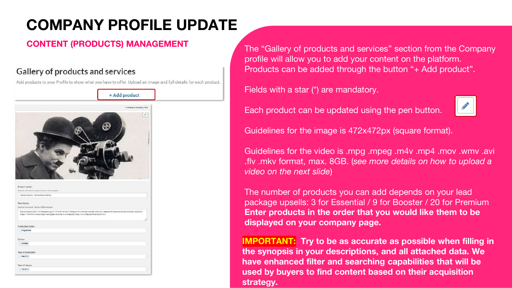#### Gallery of products and services

Add products to your Profile to show what you have to offer. Upload an image and full details for each product.



**CONTENT (PRODUCTS) MANAGEMENT** The "Gallery of products and services" section from the Company profile will allow you to add your content on the platform. Products can be added through the button "+ Add product".

Fields with a star (\*) are mandatory.



Each product can be updated using the pen button.

Guidelines for the image is 472x472px (square format).

Guidelines for the video is .mpg .mpeg .m4v .mp4 .mov .wmv .avi .flv .mkv format, max. 8GB. (*see more details on how to upload a video on the next slide*)

The number of products you can add depends on your lead package upsells: 3 for Essential / 9 for Booster / 20 for Premium **Enter products in the order that you would like them to be displayed on your company page.** 

**IMPORTANT: Try to be as accurate as possible when filling in the synopsis in your descriptions, and all attached data. We have enhanced filter and searching capabilities that will be used by buyers to find content based on their acquisition strategy.**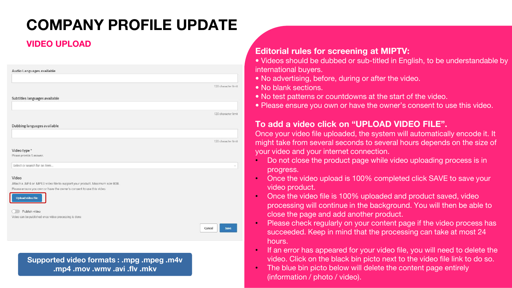#### **VIDEO UPLOAD**

|                                                                                                                                                      | 120 character limit |
|------------------------------------------------------------------------------------------------------------------------------------------------------|---------------------|
|                                                                                                                                                      |                     |
| Subtitles languages available                                                                                                                        |                     |
|                                                                                                                                                      |                     |
|                                                                                                                                                      | 120 character limit |
| Dubbing languages available                                                                                                                          |                     |
|                                                                                                                                                      |                     |
|                                                                                                                                                      | 120 character limit |
| Video type*                                                                                                                                          |                     |
| Please provide 1 answer.                                                                                                                             |                     |
| Select or search for an item                                                                                                                         |                     |
|                                                                                                                                                      |                     |
| Video                                                                                                                                                |                     |
| Attach a .MP4 or .MPEG video file to support your product. Maximum size 8GB.<br>Please ensure you own or have the owner's consent to use this video. |                     |
|                                                                                                                                                      |                     |
| <b>Upload video file</b>                                                                                                                             |                     |
|                                                                                                                                                      |                     |
|                                                                                                                                                      |                     |
| Publish video                                                                                                                                        |                     |
| Video can be published once video processing is done                                                                                                 |                     |
|                                                                                                                                                      | Save<br>Cancel      |

**Supported video formats : .mpg .mpeg .m4v .mp4 .mov .wmv .avi .flv .mkv**

#### **Editorial rules for screening at MIPTV:**

• Videos should be dubbed or sub-titled in English, to be understandable by international buyers.

- No advertising, before, during or after the video.
- No blank sections.
- No test patterns or countdowns at the start of the video.
- Please ensure you own or have the owner's consent to use this video.

#### **To add a video click on "UPLOAD VIDEO FILE".**

Once your video file uploaded, the system will automatically encode it. It might take from several seconds to several hours depends on the size of your video and your internet connection.

- Do not close the product page while video uploading process is in progress.
- Once the video upload is 100% completed click SAVE to save your video product.
- Once the video file is 100% uploaded and product saved, video processing will continue in the background. You will then be able to close the page and add another product.
- Please check regularly on your content page if the video process has succeeded. Keep in mind that the processing can take at most 24 hours.
- If an error has appeared for your video file, you will need to delete the video. Click on the black bin picto next to the video file link to do so.
- The blue bin picto below will delete the content page entirely (information / photo / video).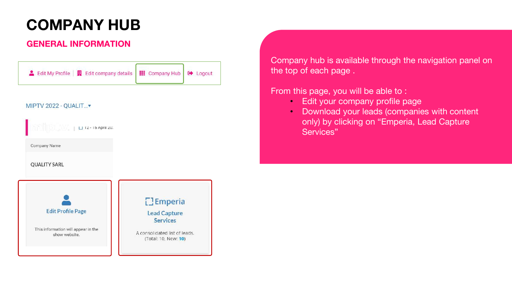### **COMPANY HUB**

#### **GENERAL INFORMATION**



#### MIPTV 2022 - QUALIT...

 $12 - 15$  April 20

Company Name

#### **QUALITY SARL**



Company hub is available through the navigation panel on the top of each page .

From this page, you will be able to :

- Edit your company profile page
- Download your leads (companies with content only) by clicking on "Emperia, Lead Capture Services"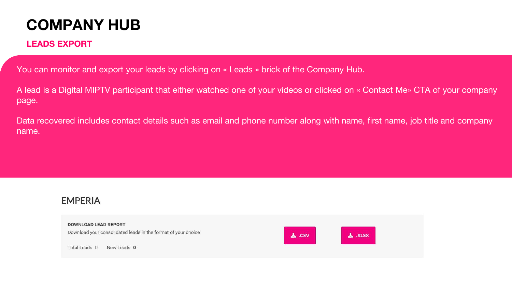### **COMPANY HUB**

#### **LEADS EXPORT**

You can monitor and export your leads by clicking on « Leads » brick of the Company Hub.

A lead is a Digital MIPTV participant that either watched one of your videos or clicked on « Contact Me» CTA of your company page.

Data recovered includes contact details such as email and phone number along with name, first name, job title and company name.

#### **EMPERIA**

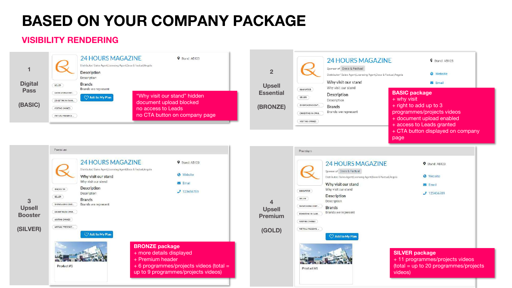## **BASED ON YOUR COMPANY PACKAGE**

#### **VISIBILITY RENDERING**

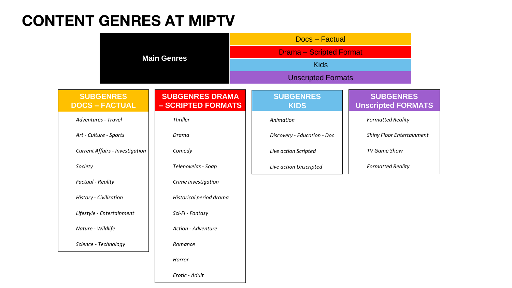### **CONTENT GENRES AT MIPTV**

|                                           |                                              | <b>Docs</b> – Factual           |                                               |  |  |
|-------------------------------------------|----------------------------------------------|---------------------------------|-----------------------------------------------|--|--|
|                                           | <b>Main Genres</b>                           | <b>Drama - Scripted Format</b>  |                                               |  |  |
|                                           |                                              | <b>Kids</b>                     |                                               |  |  |
|                                           |                                              | <b>Unscripted Formats</b>       |                                               |  |  |
| <b>SUBGENRES</b><br><b>DOCS - FACTUAL</b> | <b>SUBGENRES DRAMA</b><br>- SCRIPTED FORMATS | <b>SUBGENRES</b><br><b>KIDS</b> | <b>SUBGENRES</b><br><b>Unscripted FORMATS</b> |  |  |
| <b>Adventures - Travel</b>                | Thriller                                     | Animation                       | <b>Formatted Reality</b>                      |  |  |
| Art - Culture - Sports                    | Drama                                        | Discovery - Education - Doc     | <b>Shiny Floor Entertainment</b>              |  |  |
| <b>Current Affairs - Investigation</b>    | Comedy                                       | Live action Scripted            | TV Game Show                                  |  |  |
| Society                                   | Telenovelas - Soap                           | Live action Unscripted          | <b>Formatted Reality</b>                      |  |  |
| <b>Factual - Reality</b>                  | Crime investigation                          |                                 |                                               |  |  |
| History - Civilization                    | Historical period drama                      |                                 |                                               |  |  |
| Lifestyle - Entertainment                 | Sci-Fi - Fantasy                             |                                 |                                               |  |  |
| Nature - Wildlife                         | Action - Adventure                           |                                 |                                               |  |  |
| Science - Technology                      | Romance                                      |                                 |                                               |  |  |
|                                           | Horror                                       |                                 |                                               |  |  |
|                                           | Erotic - Adult                               |                                 |                                               |  |  |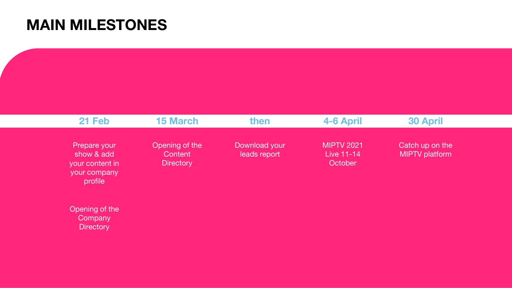### **MAIN MILESTONES**

| 21 Feb                                                                   | <b>15 March</b>                               | then                          | 4-6 April                                  | <b>30 April</b>                   |  |
|--------------------------------------------------------------------------|-----------------------------------------------|-------------------------------|--------------------------------------------|-----------------------------------|--|
| Prepare your<br>show & add<br>your content in<br>your company<br>profile | Opening of the<br>Content<br><b>Directory</b> | Download your<br>leads report | <b>MIPTV 2021</b><br>Live 11-14<br>October | Catch up on the<br>MIPTV platform |  |
| Opening of the<br>Company                                                |                                               |                               |                                            |                                   |  |

**Directory**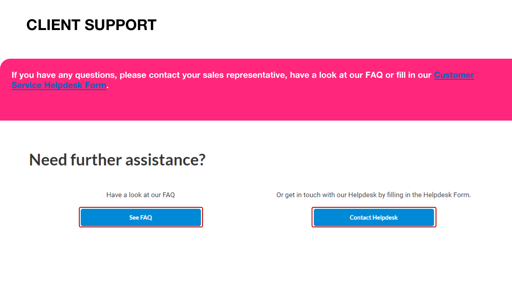### **CLIENT SUPPORT**

**[If you have any questions, please contact your sales representative, have a look at our FAQ or fill in our Customer](https://forms.reedmidem.com/webtocase.php?event)  Service Helpdesk Form.** 

### Need further assistance?

Have a look at our FAQ

See FAQ

Or get in touch with our Helpdesk by filling in the Helpdesk Form.

**Contact Helpdesk**